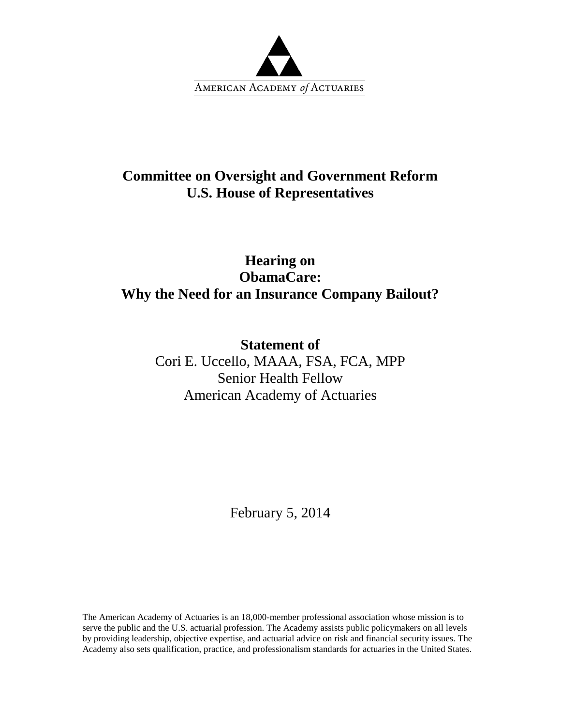

## **Committee on Oversight and Government Reform U.S. House of Representatives**

## **Hearing on ObamaCare: Why the Need for an Insurance Company Bailout?**

**Statement of** Cori E. Uccello, MAAA, FSA, FCA, MPP Senior Health Fellow American Academy of Actuaries

February 5, 2014

The American Academy of Actuaries is an 18,000-member professional association whose mission is to serve the public and the U.S. actuarial profession. The Academy assists public policymakers on all levels by providing leadership, objective expertise, and actuarial advice on risk and financial security issues. The Academy also sets qualification, practice, and professionalism standards for actuaries in the United States.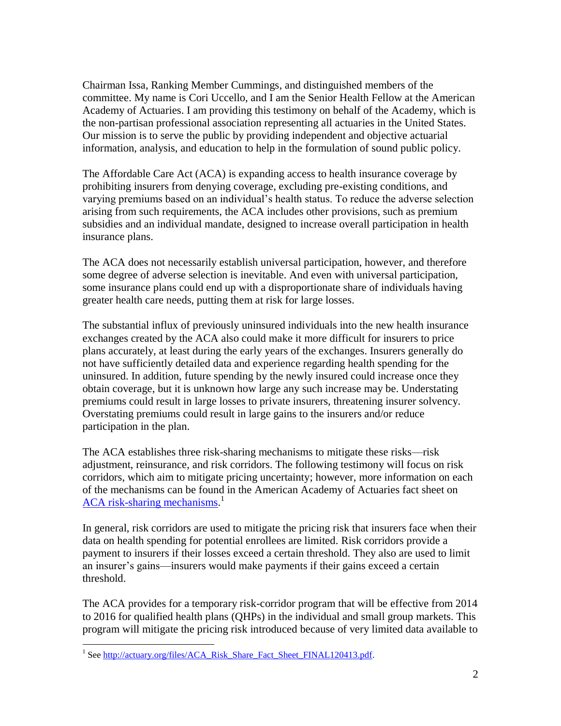Chairman Issa, Ranking Member Cummings, and distinguished members of the committee. My name is Cori Uccello, and I am the Senior Health Fellow at the American Academy of Actuaries. I am providing this testimony on behalf of the Academy, which is the non-partisan professional association representing all actuaries in the United States. Our mission is to serve the public by providing independent and objective actuarial information, analysis, and education to help in the formulation of sound public policy.

The Affordable Care Act (ACA) is expanding access to health insurance coverage by prohibiting insurers from denying coverage, excluding pre-existing conditions, and varying premiums based on an individual's health status. To reduce the adverse selection arising from such requirements, the ACA includes other provisions, such as premium subsidies and an individual mandate, designed to increase overall participation in health insurance plans.

The ACA does not necessarily establish universal participation, however, and therefore some degree of adverse selection is inevitable. And even with universal participation, some insurance plans could end up with a disproportionate share of individuals having greater health care needs, putting them at risk for large losses.

The substantial influx of previously uninsured individuals into the new health insurance exchanges created by the ACA also could make it more difficult for insurers to price plans accurately, at least during the early years of the exchanges. Insurers generally do not have sufficiently detailed data and experience regarding health spending for the uninsured. In addition, future spending by the newly insured could increase once they obtain coverage, but it is unknown how large any such increase may be. Understating premiums could result in large losses to private insurers, threatening insurer solvency. Overstating premiums could result in large gains to the insurers and/or reduce participation in the plan.

The ACA establishes three risk-sharing mechanisms to mitigate these risks—risk adjustment, reinsurance, and risk corridors. The following testimony will focus on risk corridors, which aim to mitigate pricing uncertainty; however, more information on each of the mechanisms can be found in the American Academy of Actuaries fact sheet on [ACA risk-sharing mechanisms.](http://actuary.org/files/ACA_Risk_Share_Fact_Sheet_FINAL120413.pdf)<sup>1</sup>

In general, risk corridors are used to mitigate the pricing risk that insurers face when their data on health spending for potential enrollees are limited. Risk corridors provide a payment to insurers if their losses exceed a certain threshold. They also are used to limit an insurer's gains—insurers would make payments if their gains exceed a certain threshold.

The ACA provides for a temporary risk-corridor program that will be effective from 2014 to 2016 for qualified health plans (QHPs) in the individual and small group markets. This program will mitigate the pricing risk introduced because of very limited data available to

 $\overline{a}$ 

<sup>&</sup>lt;sup>1</sup> Se[e http://actuary.org/files/ACA\\_Risk\\_Share\\_Fact\\_Sheet\\_FINAL120413.pdf.](http://actuary.org/files/ACA_Risk_Share_Fact_Sheet_FINAL120413.pdf)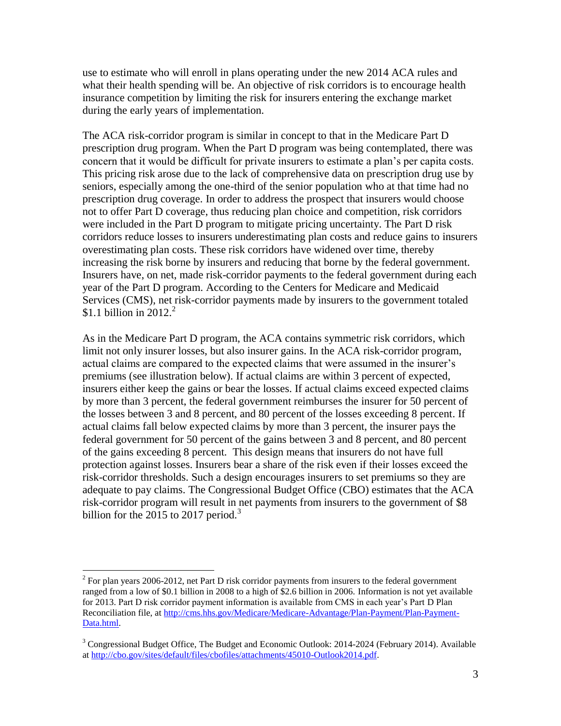use to estimate who will enroll in plans operating under the new 2014 ACA rules and what their health spending will be. An objective of risk corridors is to encourage health insurance competition by limiting the risk for insurers entering the exchange market during the early years of implementation.

The ACA risk-corridor program is similar in concept to that in the Medicare Part D prescription drug program. When the Part D program was being contemplated, there was concern that it would be difficult for private insurers to estimate a plan's per capita costs. This pricing risk arose due to the lack of comprehensive data on prescription drug use by seniors, especially among the one-third of the senior population who at that time had no prescription drug coverage. In order to address the prospect that insurers would choose not to offer Part D coverage, thus reducing plan choice and competition, risk corridors were included in the Part D program to mitigate pricing uncertainty. The Part D risk corridors reduce losses to insurers underestimating plan costs and reduce gains to insurers overestimating plan costs. These risk corridors have widened over time, thereby increasing the risk borne by insurers and reducing that borne by the federal government. Insurers have, on net, made risk-corridor payments to the federal government during each year of the Part D program. According to the Centers for Medicare and Medicaid Services (CMS), net risk-corridor payments made by insurers to the government totaled \$1.1 billion in 2012.<sup>2</sup>

As in the Medicare Part D program, the ACA contains symmetric risk corridors, which limit not only insurer losses, but also insurer gains. In the ACA risk-corridor program, actual claims are compared to the expected claims that were assumed in the insurer's premiums (see illustration below). If actual claims are within 3 percent of expected, insurers either keep the gains or bear the losses. If actual claims exceed expected claims by more than 3 percent, the federal government reimburses the insurer for 50 percent of the losses between 3 and 8 percent, and 80 percent of the losses exceeding 8 percent. If actual claims fall below expected claims by more than 3 percent, the insurer pays the federal government for 50 percent of the gains between 3 and 8 percent, and 80 percent of the gains exceeding 8 percent. This design means that insurers do not have full protection against losses. Insurers bear a share of the risk even if their losses exceed the risk-corridor thresholds. Such a design encourages insurers to set premiums so they are adequate to pay claims. The Congressional Budget Office (CBO) estimates that the ACA risk-corridor program will result in net payments from insurers to the government of \$8 billion for the 2015 to 2017 period.<sup>3</sup>

<sup>&</sup>lt;sup>2</sup> For plan years 2006-2012, net Part D risk corridor payments from insurers to the federal government ranged from a low of \$0.1 billion in 2008 to a high of \$2.6 billion in 2006. Information is not yet available for 2013. Part D risk corridor payment information is available from CMS in each year's Part D Plan Reconciliation file, at [http://cms.hhs.gov/Medicare/Medicare-Advantage/Plan-Payment/Plan-Payment-](http://cms.hhs.gov/Medicare/Medicare-Advantage/Plan-Payment/Plan-Payment-Data.html)[Data.html.](http://cms.hhs.gov/Medicare/Medicare-Advantage/Plan-Payment/Plan-Payment-Data.html)

<sup>&</sup>lt;sup>3</sup> Congressional Budget Office, The Budget and Economic Outlook: 2014-2024 (February 2014). Available a[t http://cbo.gov/sites/default/files/cbofiles/attachments/45010-Outlook2014.pdf.](http://cbo.gov/sites/default/files/cbofiles/attachments/45010-Outlook2014.pdf)